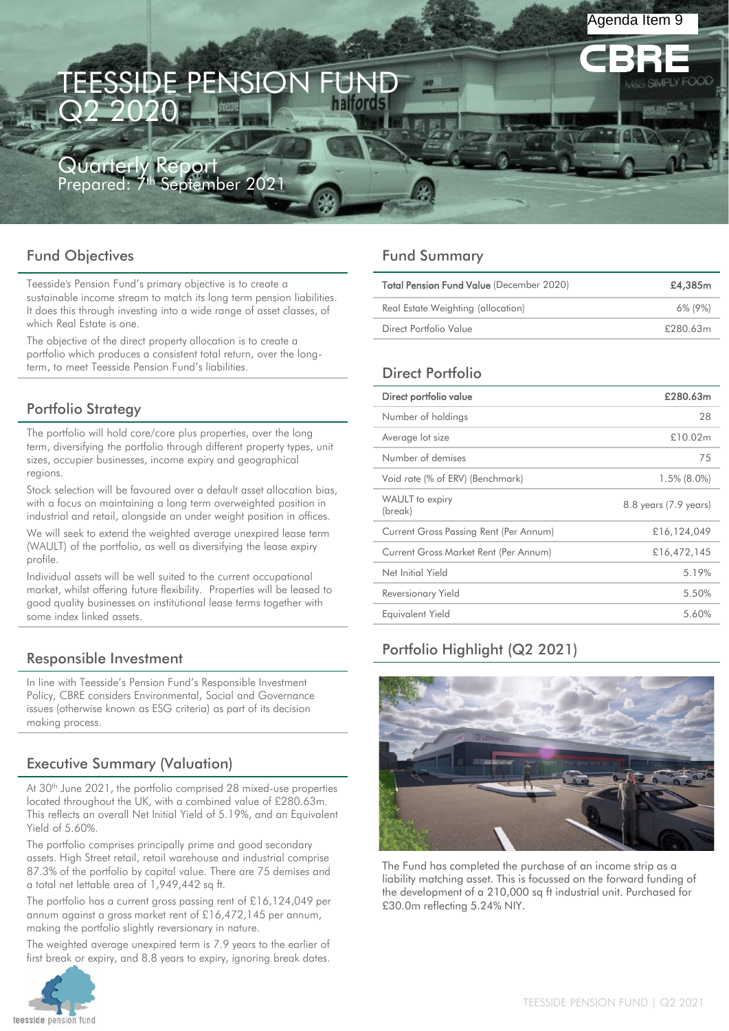# ESSIDE PENSION Q2 2020

Quarterly Report Prepared: 7<sup>th</sup> September 2021

# Fund Objectives

Teesside's Pension Fund's primary objective is to create a sustainable income stream to match its long term pension liabilities. It does this through investing into a wide range of asset classes, of which Real Estate is one.

The objective of the direct property allocation is to create a portfolio which produces a consistent total return, over the longterm, to meet Teesside Pension Fund's liabilities.

# Portfolio Strategy

The portfolio will hold core/core plus properties, over the long term, diversifying the portfolio through different property types, unit sizes, occupier businesses, income expiry and geographical regions.

Stock selection will be favoured over a default asset allocation bias, with a focus on maintaining a long term overweighted position in industrial and retail, alongside an under weight position in offices.

We will seek to extend the weighted average unexpired lease term (WAULT) of the portfolio, as well as diversifying the lease expiry profile.

Individual assets will be well suited to the current occupational market, whilst offering future flexibility. Properties will be leased to good quality businesses on institutional lease terms together with some index linked assets.

# Responsible Investment

In line with Teesside's Pension Fund's Responsible Investment Policy, CBRE considers Environmental, Social and Governance issues (otherwise known as ESG criteria) as part of its decision making process.

# Executive Summary (Valuation)

At 30<sup>th</sup> June 2021, the portfolio comprised 28 mixed-use properties located throughout the UK, with a combined value of £280.63m. This reflects an overall Net Initial Yield of 5.19%, and an Equivalent Yield of 5.60%.

The portfolio comprises principally prime and good secondary assets. High Street retail, retail warehouse and industrial comprise 87.3% of the portfolio by capital value. There are 75 demises and a total net lettable area of 1,949,442 sq ft.

The portfolio has a current gross passing rent of £16,124,049 per annum against a gross market rent of £16,472,145 per annum, making the portfolio slightly reversionary in nature.

The weighted average unexpired term is 7.9 years to the earlier of first break or expiry, and 8.8 years to expiry, ignoring break dates.



# Fund Summary

| <b>Total Pension Fund Value (December 2020)</b> | £4,385m  |
|-------------------------------------------------|----------|
| Real Estate Weighting (allocation)              | 6% (9%)  |
| Direct Portfolio Value                          | £280.63m |

Agenda Item 9

# Direct Portfolio

| Direct portfolio value                 | £280.63m              |
|----------------------------------------|-----------------------|
| Number of holdings                     | 28                    |
| Average lot size                       | £10.02m               |
| Number of demises                      | 75                    |
| Void rate (% of ERV) (Benchmark)       | $1.5\%$ (8.0%)        |
| WAULT to expiry<br>(break)             | 8.8 years (7.9 years) |
| Current Gross Passing Rent (Per Annum) | £16,124,049           |
| Current Gross Market Rent (Per Annum)  | £16,472,145           |
| Net Initial Yield                      | 5.19%                 |
| Reversionary Yield                     | 5.50%                 |
| Equivalent Yield                       | 5.60%                 |

# Portfolio Highlight (Q2 2021)



The Fund has completed the purchase of an income strip as a liability matching asset. This is focussed on the forward funding of the development of a 210,000 sq ft industrial unit. Purchased for £30.0m reflecting 5.24% NIY.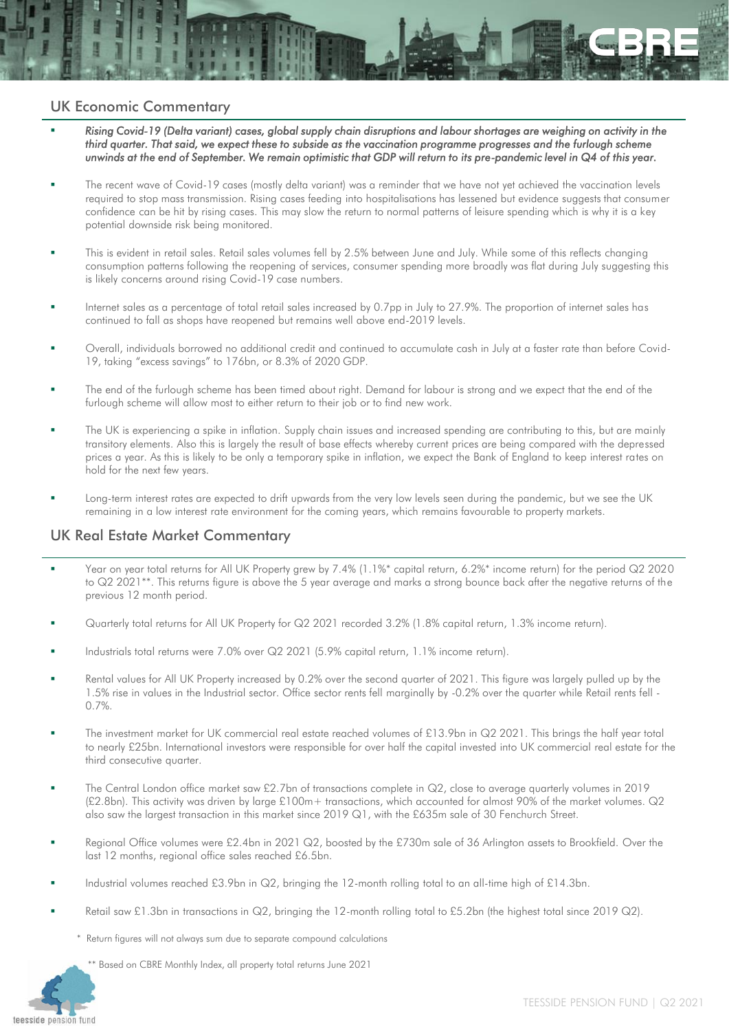### UK Economic Commentary

- *Rising Covid-19 (Delta variant) cases, global supply chain disruptions and labour shortages are weighing on activity in the third quarter. That said, we expect these to subside as the vaccination programme progresses and the furlough scheme unwinds at the end of September. We remain optimistic that GDP will return to its pre-pandemic level in Q4 of this year.*
- The recent wave of Covid-19 cases (mostly delta variant) was a reminder that we have not yet achieved the vaccination levels required to stop mass transmission. Rising cases feeding into hospitalisations has lessened but evidence suggests that consumer confidence can be hit by rising cases. This may slow the return to normal patterns of leisure spending which is why it is a key potential downside risk being monitored.
- This is evident in retail sales. Retail sales volumes fell by 2.5% between June and July. While some of this reflects changing consumption patterns following the reopening of services, consumer spending more broadly was flat during July suggesting this is likely concerns around rising Covid-19 case numbers.
- Internet sales as a percentage of total retail sales increased by 0.7pp in July to 27.9%. The proportion of internet sales has continued to fall as shops have reopened but remains well above end-2019 levels.
- Overall, individuals borrowed no additional credit and continued to accumulate cash in July at a faster rate than before Covid-19, taking "excess savings" to 176bn, or 8.3% of 2020 GDP.
- The end of the furlough scheme has been timed about right. Demand for labour is strong and we expect that the end of the furlough scheme will allow most to either return to their job or to find new work.
- The UK is experiencing a spike in inflation. Supply chain issues and increased spending are contributing to this, but are mainly transitory elements. Also this is largely the result of base effects whereby current prices are being compared with the depressed prices a year. As this is likely to be only a temporary spike in inflation, we expect the Bank of England to keep interest rates on hold for the next few years.
- Long-term interest rates are expected to drift upwards from the very low levels seen during the pandemic, but we see the UK remaining in a low interest rate environment for the coming years, which remains favourable to property markets.

# UK Real Estate Market Commentary

- Year on year total returns for All UK Property grew by 7.4% (1.1%\* capital return, 6.2%\* income return) for the period Q2 2020 to Q2 2021\*\*. This returns figure is above the 5 year average and marks a strong bounce back after the negative returns of the previous 12 month period.
- Quarterly total returns for All UK Property for Q2 2021 recorded 3.2% (1.8% capital return, 1.3% income return).
- Industrials total returns were 7.0% over Q2 2021 (5.9% capital return, 1.1% income return).
- Rental values for All UK Property increased by 0.2% over the second quarter of 2021. This figure was largely pulled up by the 1.5% rise in values in the Industrial sector. Office sector rents fell marginally by -0.2% over the quarter while Retail rents fell - 0.7%.
- The investment market for UK commercial real estate reached volumes of £13.9bn in Q2 2021. This brings the half year total to nearly £25bn. International investors were responsible for over half the capital invested into UK commercial real estate for the third consecutive quarter.
- The Central London office market saw £2.7bn of transactions complete in Q2, close to average quarterly volumes in 2019 (£2.8bn). This activity was driven by large £100m+ transactions, which accounted for almost 90% of the market volumes. Q2 also saw the largest transaction in this market since 2019 Q1, with the £635m sale of 30 Fenchurch Street.
- Regional Office volumes were £2.4bn in 2021 Q2, boosted by the £730m sale of 36 Arlington assets to Brookfield. Over the last 12 months, regional office sales reached £6.5bn.
- Industrial volumes reached £3.9bn in Q2, bringing the 12-month rolling total to an all-time high of £14.3bn.
- Retail saw £1.3bn in transactions in  $Q2$ , bringing the 12-month rolling total to £5.2bn (the highest total since 2019  $Q2$ ).
	- Return figures will not always sum due to separate compound calculations

\*\* Based on CBRE Monthly Index, all property total returns June 2021

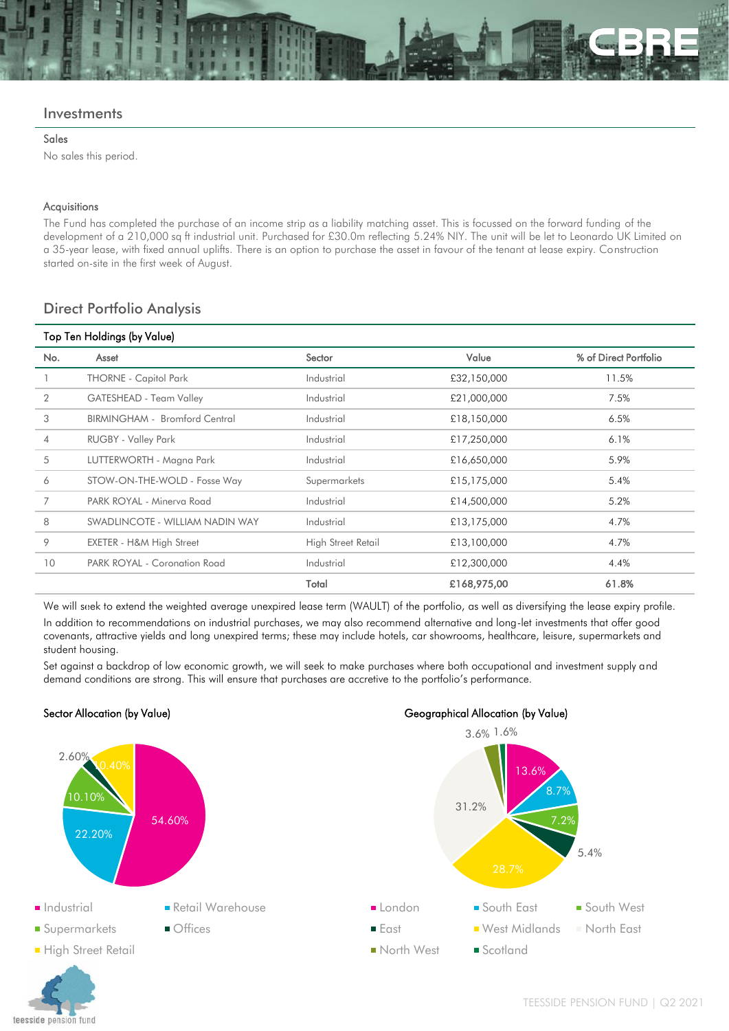#### **Investments**

#### Sales

No sales this period.

#### Acquisitions

The Fund has completed the purchase of an income strip as a liability matching asset. This is focussed on the forward funding of the development of a 210,000 sq ft industrial unit. Purchased for £30.0m reflecting 5.24% NIY. The unit will be let to Leonardo UK Limited on a 35-year lease, with fixed annual uplifts. There is an option to purchase the asset in favour of the tenant at lease expiry. Construction started on-site in the first week of August.

### Direct Portfolio Analysis

| Top Ten Holdings (by Value) |                                 |                    |             |                       |  |  |  |
|-----------------------------|---------------------------------|--------------------|-------------|-----------------------|--|--|--|
| No.                         | Asset                           | Sector             | Value       | % of Direct Portfolio |  |  |  |
|                             | <b>THORNE - Capitol Park</b>    | Industrial         | £32,150,000 | 11.5%                 |  |  |  |
| 2                           | GATESHEAD - Team Valley         | Industrial         | £21,000,000 | 7.5%                  |  |  |  |
| 3                           | BIRMINGHAM - Bromford Central   | Industrial         | £18,150,000 | 6.5%                  |  |  |  |
| 4                           | <b>RUGBY - Valley Park</b>      | Industrial         | £17,250,000 | 6.1%                  |  |  |  |
| 5                           | LUTTERWORTH - Magna Park        | Industrial         | £16,650,000 | 5.9%                  |  |  |  |
| 6                           | STOW-ON-THE-WOLD - Fosse Way    | Supermarkets       | £15,175,000 | 5.4%                  |  |  |  |
| 7                           | PARK ROYAL - Minerva Road       | Industrial         | £14,500,000 | 5.2%                  |  |  |  |
| 8                           | SWADLINCOTE - WILLIAM NADIN WAY | Industrial         | £13,175,000 | 4.7%                  |  |  |  |
| 9                           | EXETER - H&M High Street        | High Street Retail | £13,100,000 | 4.7%                  |  |  |  |
| 10                          | PARK ROYAL - Coronation Road    | Industrial         | £12,300,000 | 4.4%                  |  |  |  |
|                             |                                 | Total              | £168,975,00 | 61.8%                 |  |  |  |

We will seek to extend the weighted average unexpired lease term (WAULT) of the portfolio, as well as diversifying the lease expiry profile. In addition to recommendations on industrial purchases, we may also recommend alternative and long-let investments that offer good covenants, attractive yields and long unexpired terms; these may include hotels, car showrooms, healthcare, leisure, supermarkets and student housing.

Set against a backdrop of low economic growth, we will seek to make purchases where both occupational and investment supply and demand conditions are strong. This will ensure that purchases are accretive to the portfolio's performance.

#### Sector Allocation (by Value) Geographical Allocation (by Value)

teesside pension fund

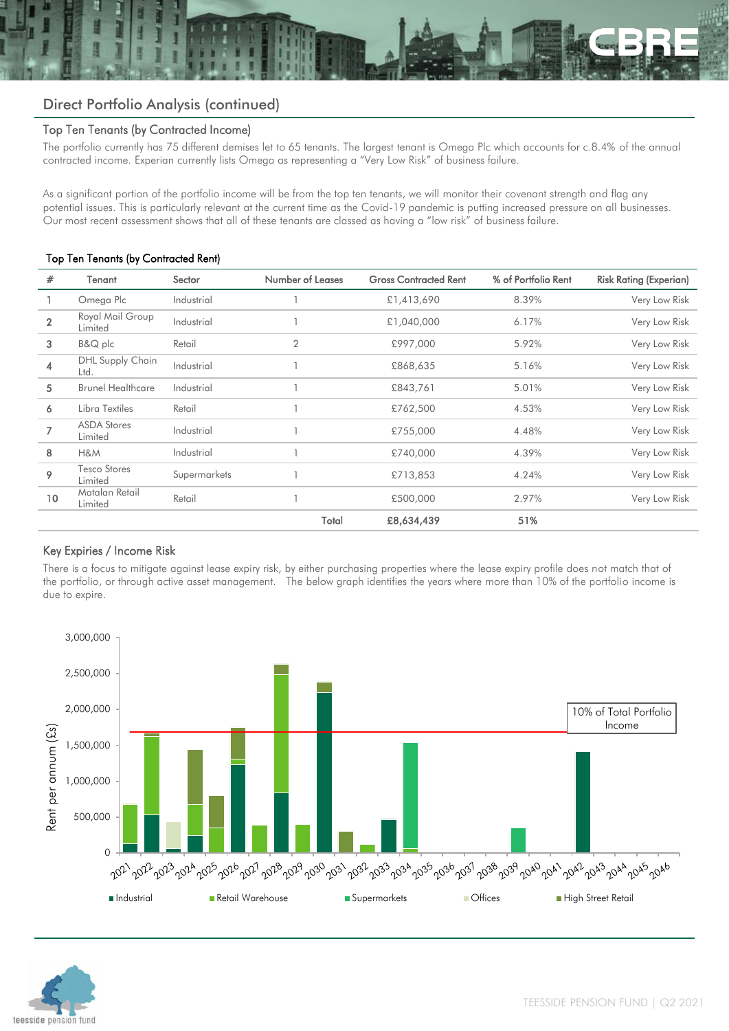# Direct Portfolio Analysis (continued)

#### Top Ten Tenants (by Contracted Income)

The portfolio currently has 75 different demises let to 65 tenants. The largest tenant is Omega Plc which accounts for c.8.4% of the annual contracted income. Experian currently lists Omega as representing a "Very Low Risk" of business failure.

As a significant portion of the portfolio income will be from the top ten tenants, we will monitor their covenant strength and flag any potential issues. This is particularly relevant at the current time as the Covid-19 pandemic is putting increased pressure on all businesses. Our most recent assessment shows that all of these tenants are classed as having a "low risk" of business failure.

#### Top Ten Tenants (by Contracted Rent)

| #              | Tenant                          | Sector       | Number of Leases | <b>Gross Contracted Rent</b> | % of Portfolio Rent | <b>Risk Rating (Experian)</b> |
|----------------|---------------------------------|--------------|------------------|------------------------------|---------------------|-------------------------------|
|                | Omega Plc                       | Industrial   |                  | £1,413,690                   | 8.39%               | Very Low Risk                 |
| $\overline{2}$ | Royal Mail Group<br>Limited     | Industrial   |                  | £1,040,000                   | 6.17%               | Very Low Risk                 |
| 3              | B&Q plc                         | Retail       | $\overline{2}$   | £997,000                     | 5.92%               | Very Low Risk                 |
| 4              | <b>DHL Supply Chain</b><br>Ltd. | Industrial   |                  | £868,635                     | 5.16%               | Very Low Risk                 |
| 5              | <b>Brunel Healthcare</b>        | Industrial   |                  | £843,761                     | 5.01%               | Very Low Risk                 |
| 6              | Libra Textiles                  | Retail       |                  | £762,500                     | 4.53%               | Very Low Risk                 |
|                | <b>ASDA Stores</b><br>Limited   | Industrial   |                  | £755,000                     | 4.48%               | Very Low Risk                 |
| 8              | H&M                             | Industrial   |                  | £740,000                     | 4.39%               | Very Low Risk                 |
| 9              | Tesco Stores<br>Limited         | Supermarkets |                  | £713,853                     | 4.24%               | Very Low Risk                 |
| 10             | Matalan Retail<br>Limited       | Retail       |                  | £500,000                     | 2.97%               | Very Low Risk                 |
|                |                                 |              | Total            | £8,634,439                   | 51%                 |                               |

### Key Expiries / Income Risk

There is a focus to mitigate against lease expiry risk, by either purchasing properties where the lease expiry profile does not match that of the portfolio, or through active asset management. The below graph identifies the years where more than 10% of the portfolio income is due to expire.



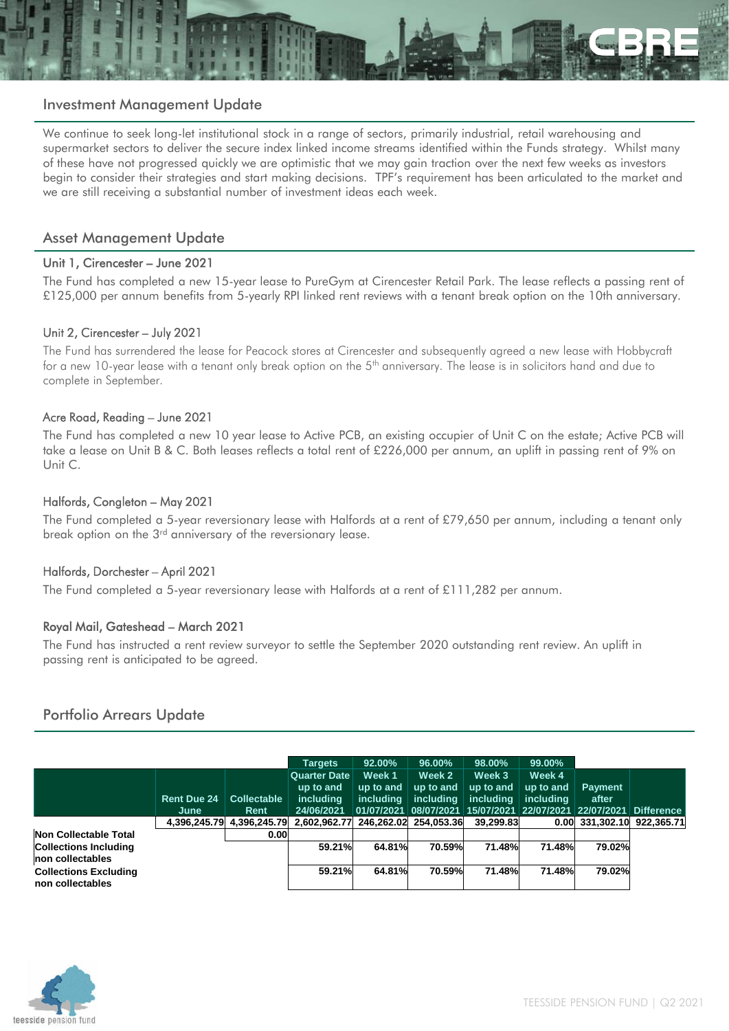

#### Investment Management Update

We continue to seek long-let institutional stock in a range of sectors, primarily industrial, retail warehousing and supermarket sectors to deliver the secure index linked income streams identified within the Funds strategy. Whilst many of these have not progressed quickly we are optimistic that we may gain traction over the next few weeks as investors begin to consider their strategies and start making decisions. TPF's requirement has been articulated to the market and we are still receiving a substantial number of investment ideas each week.

#### Asset Management Update

#### Unit 1, Cirencester – June 2021

The Fund has completed a new 15-year lease to PureGym at Cirencester Retail Park. The lease reflects a passing rent of £125,000 per annum benefits from 5-yearly RPI linked rent reviews with a tenant break option on the 10th anniversary.

#### Unit 2, Cirencester – July 2021

The Fund has surrendered the lease for Peacock stores at Cirencester and subsequently agreed a new lease with Hobbycraft for a new 10-year lease with a tenant only break option on the 5<sup>th</sup> anniversary. The lease is in solicitors hand and due to complete in September.

#### Acre Road, Reading – June 2021

The Fund has completed a new 10 year lease to Active PCB, an existing occupier of Unit C on the estate; Active PCB will take a lease on Unit B & C. Both leases reflects a total rent of £226,000 per annum, an uplift in passing rent of 9% on Unit C.

#### Halfords, Congleton – May 2021

The Fund completed a 5-year reversionary lease with Halfords at a rent of £79,650 per annum, including a tenant only break option on the 3<sup>rd</sup> anniversary of the reversionary lease.

#### Halfords, Dorchester – April 2021

The Fund completed a 5-year reversionary lease with Halfords at a rent of £111,282 per annum.

#### Royal Mail, Gateshead – March 2021

The Fund has instructed a rent review surveyor to settle the September 2020 outstanding rent review. An uplift in passing rent is anticipated to be agreed.

### Portfolio Arrears Update

|                                                  |                            |                            | <b>Targets</b>                                              | 92.00%                           | 96.00%                           | 98.00%                                  | 99.00%                                  |                                                                                              |  |
|--------------------------------------------------|----------------------------|----------------------------|-------------------------------------------------------------|----------------------------------|----------------------------------|-----------------------------------------|-----------------------------------------|----------------------------------------------------------------------------------------------|--|
|                                                  | <b>Rent Due 24</b><br>June | <b>Collectable</b><br>Rent | <b>Quarter Date</b><br>up to and<br>including<br>24/06/2021 | Week 1<br>up to and<br>including | Week 2<br>up to and<br>includina | Week 3<br>up to and<br><i>including</i> | Week 4<br>up to and<br><i>including</i> | <b>Payment</b><br>after<br>01/07/2021 08/07/2021 15/07/2021 22/07/2021 22/07/2021 Difference |  |
|                                                  | 4.396.245.79               | 4.396.245.79               | 2.602.962.77                                                |                                  | 246.262.02 254.053.36            | 39.299.83                               |                                         | 0.00 331.302.10 922.365.71                                                                   |  |
| Non Collectable Total                            |                            | 0.00                       |                                                             |                                  |                                  |                                         |                                         |                                                                                              |  |
| <b>Collections Including</b><br>non collectables |                            |                            | 59.21%                                                      | 64.81%                           | 70.59%                           | 71.48%                                  | 71.48%                                  | 79.02%                                                                                       |  |
| <b>Collections Excluding</b><br>non collectables |                            |                            | 59.21%                                                      | 64.81%                           | 70.59%                           | 71.48%                                  | 71.48%                                  | 79.02%                                                                                       |  |

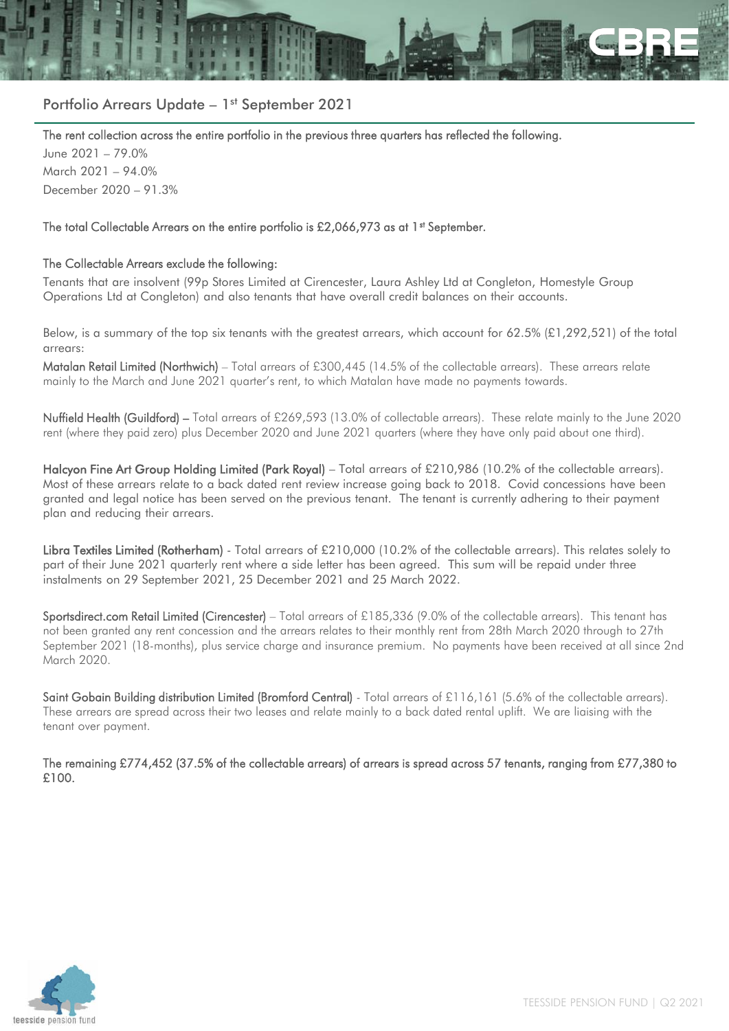

# Portfolio Arrears Update - 1st September 2021

The rent collection across the entire portfolio in the previous three quarters has reflected the following.

June 2021 – 79.0% March 2021 – 94.0% December 2020 – 91.3%

#### The total Collectable Arrears on the entire portfolio is £2,066,973 as at 1<sup>st</sup> September.

#### The Collectable Arrears exclude the following:

Tenants that are insolvent (99p Stores Limited at Cirencester, Laura Ashley Ltd at Congleton, Homestyle Group Operations Ltd at Congleton) and also tenants that have overall credit balances on their accounts.

Below, is a summary of the top six tenants with the greatest arrears, which account for 62.5% (£1,292,521) of the total arrears:

Matalan Retail Limited (Northwich) – Total arrears of £300,445 (14.5% of the collectable arrears). These arrears relate mainly to the March and June 2021 quarter's rent, to which Matalan have made no payments towards.

Nuffield Health (Guildford) – Total arrears of £269,593 (13.0% of collectable arrears). These relate mainly to the June 2020 rent (where they paid zero) plus December 2020 and June 2021 quarters (where they have only paid about one third).

Halcyon Fine Art Group Holding Limited (Park Royal) – Total arrears of £210,986 (10.2% of the collectable arrears). Most of these arrears relate to a back dated rent review increase going back to 2018. Covid concessions have been granted and legal notice has been served on the previous tenant. The tenant is currently adhering to their payment plan and reducing their arrears.

Libra Textiles Limited (Rotherham) - Total arrears of £210,000 (10.2% of the collectable arrears). This relates solely to part of their June 2021 quarterly rent where a side letter has been agreed. This sum will be repaid under three instalments on 29 September 2021, 25 December 2021 and 25 March 2022.

Sportsdirect.com Retail Limited (Cirencester) – Total arrears of £185,336 (9.0% of the collectable arrears). This tenant has not been granted any rent concession and the arrears relates to their monthly rent from 28th March 2020 through to 27th September 2021 (18-months), plus service charge and insurance premium. No payments have been received at all since 2nd March 2020.

Saint Gobain Building distribution Limited (Bromford Central) - Total arrears of £116,161 (5.6% of the collectable arrears). These arrears are spread across their two leases and relate mainly to a back dated rental uplift. We are liaising with the tenant over payment.

The remaining £774,452 (37.5% of the collectable arrears) of arrears is spread across 57 tenants, ranging from £77,380 to £100.